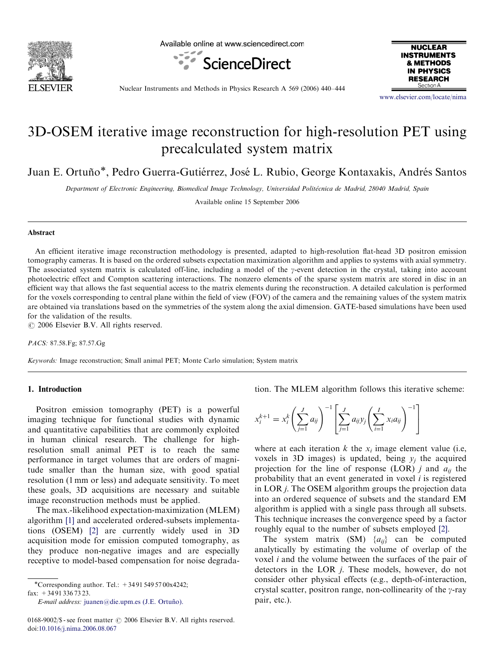

Available online at www.sciencedirect.com





Nuclear Instruments and Methods in Physics Research A 569 (2006) 440–444

<www.elsevier.com/locate/nima>

# 3D-OSEM iterative image reconstruction for high-resolution PET using precalculated system matrix

Juan E. Ortuño\*, Pedro Guerra-Gutiérrez, José L. Rubio, George Kontaxakis, Andrés Santos

Department of Electronic Engineering, Biomedical Image Technology, Universidad Politécnica de Madrid, 28040 Madrid, Spain

Available online 15 September 2006

# Abstract

An efficient iterative image reconstruction methodology is presented, adapted to high-resolution flat-head 3D positron emission tomography cameras. It is based on the ordered subsets expectation maximization algorithm and applies to systems with axial symmetry. The associated system matrix is calculated off-line, including a model of the  $\gamma$ -event detection in the crystal, taking into account photoelectric effect and Compton scattering interactions. The nonzero elements of the sparse system matrix are stored in disc in an efficient way that allows the fast sequential access to the matrix elements during the reconstruction. A detailed calculation is performed for the voxels corresponding to central plane within the field of view (FOV) of the camera and the remaining values of the system matrix are obtained via translations based on the symmetries of the system along the axial dimension. GATE-based simulations have been used for the validation of the results.

 $\odot$  2006 Elsevier B.V. All rights reserved.

PACS: 87.58.Fg; 87.57.Gg

Keywords: Image reconstruction; Small animal PET; Monte Carlo simulation; System matrix

# 1. Introduction

Positron emission tomography (PET) is a powerful imaging technique for functional studies with dynamic and quantitative capabilities that are commonly exploited in human clinical research. The challenge for highresolution small animal PET is to reach the same performance in target volumes that are orders of magnitude smaller than the human size, with good spatial resolution (1 mm or less) and adequate sensitivity. To meet these goals, 3D acquisitions are necessary and suitable image reconstruction methods must be applied.

The max.-likelihood expectation-maximization (MLEM) algorithm [\[1\]](#page-4-0) and accelerated ordered-subsets implementations (OSEM) [\[2\]](#page-4-0) are currently widely used in 3D acquisition mode for emission computed tomography, as they produce non-negative images and are especially receptive to model-based compensation for noise degrada-

-Corresponding author. Tel.: +34 91 549 57 00x4242; fax: +34 91 336 73 23.

E-mail address: juanen@die.upm.es (J.E. Ortuño).

tion. The MLEM algorithm follows this iterative scheme:

$$
x_i^{k+1} = x_i^k \left( \sum_{j=1}^J a_{ij} \right)^{-1} \left[ \sum_{j=1}^J a_{ij} y_j \left( \sum_{i=1}^I x_i a_{ij} \right)^{-1} \right]
$$

where at each iteration k the  $x_i$  image element value (i.e, voxels in 3D images) is updated, being  $y_i$  the acquired projection for the line of response (LOR) j and  $a_{ii}$  the probability that an event generated in voxel  $i$  is registered in LOR j. The OSEM algorithm groups the projection data into an ordered sequence of subsets and the standard EM algorithm is applied with a single pass through all subsets. This technique increases the convergence speed by a factor roughly equal to the number of subsets employed [\[2\]](#page-4-0).

The system matrix (SM)  $\{a_{ii}\}$  can be computed analytically by estimating the volume of overlap of the voxel  $i$  and the volume between the surfaces of the pair of detectors in the LOR j. These models, however, do not consider other physical effects (e.g., depth-of-interaction, crystal scatter, positron range, non-collinearity of the  $\gamma$ -ray pair, etc.).

<sup>0168-9002/\$ -</sup> see front matter  $\odot$  2006 Elsevier B.V. All rights reserved. doi:[10.1016/j.nima.2006.08.067](dx.doi.org/10.1016/j.nima.2006.08.067)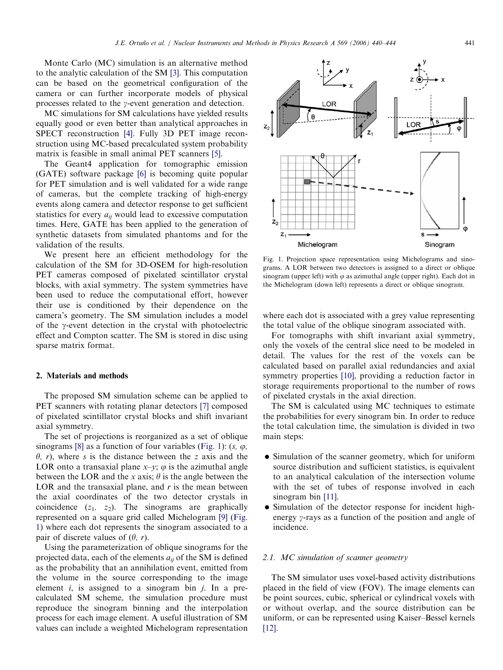Monte Carlo (MC) simulation is an alternative method to the analytic calculation of the SM [\[3\]](#page-4-0). This computation can be based on the geometrical configuration of the camera or can further incorporate models of physical processes related to the  $\gamma$ -event generation and detection.

MC simulations for SM calculations have yielded results equally good or even better than analytical approaches in SPECT reconstruction [\[4\]](#page-4-0). Fully 3D PET image reconstruction using MC-based precalculated system probability matrix is feasible in small animal PET scanners [\[5\]](#page-4-0).

The Geant4 application for tomographic emission (GATE) software package [\[6\]](#page-4-0) is becoming quite popular for PET simulation and is well validated for a wide range of cameras, but the complete tracking of high-energy events along camera and detector response to get sufficient statistics for every  $a_{ii}$  would lead to excessive computation times. Here, GATE has been applied to the generation of synthetic datasets from simulated phantoms and for the validation of the results.

We present here an efficient methodology for the calculation of the SM for 3D-OSEM for high-resolution PET cameras composed of pixelated scintillator crystal blocks, with axial symmetry. The system symmetries have been used to reduce the computational effort, however their use is conditioned by their dependence on the camera's geometry. The SM simulation includes a model of the  $\gamma$ -event detection in the crystal with photoelectric effect and Compton scatter. The SM is stored in disc using sparse matrix format.

# 2. Materials and methods

The proposed SM simulation scheme can be applied to PET scanners with rotating planar detectors [\[7\]](#page-4-0) composed of pixelated scintillator crystal blocks and shift invariant axial symmetry.

The set of projections is reorganized as a set of oblique sinograms [\[8\]](#page-4-0) as a function of four variables (Fig. 1):  $(s, \varphi, \varphi)$  $\theta$ , r), where s is the distance between the z axis and the LOR onto a transaxial plane  $x-y$ ;  $\varphi$  is the azimuthal angle between the LOR and the x axis;  $\theta$  is the angle between the LOR and the transaxial plane, and  $r$  is the mean between the axial coordinates of the two detector crystals in coincidence  $(z_1, z_2)$ . The sinograms are graphically represented on a square grid called Michelogram [\[9\]](#page-4-0) (Fig. 1) where each dot represents the sinogram associated to a pair of discrete values of  $(\theta, r)$ .

Using the parameterization of oblique sinograms for the projected data, each of the elements  $a_{ii}$  of the SM is defined as the probability that an annihilation event, emitted from the volume in the source corresponding to the image element  $i$ , is assigned to a sinogram bin  $j$ . In a precalculated SM scheme, the simulation procedure must reproduce the sinogram binning and the interpolation process for each image element. A useful illustration of SM values can include a weighted Michelogram representation Fig. 1. Projection space representation using Michelograms and sinograms. A LOR between two detectors is assigned to a direct or oblique sinogram (upper left) with  $\varphi$  as azimuthal angle (upper right). Each dot in the Michelogram (down left) represents a direct or oblique sinogram.

Michelogram

where each dot is associated with a grey value representing the total value of the oblique sinogram associated with.

For tomographs with shift invariant axial symmetry, only the voxels of the central slice need to be modeled in detail. The values for the rest of the voxels can be calculated based on parallel axial redundancies and axial symmetry properties [\[10\]](#page-4-0), providing a reduction factor in storage requirements proportional to the number of rows of pixelated crystals in the axial direction.

The SM is calculated using MC techniques to estimate the probabilities for every sinogram bin. In order to reduce the total calculation time, the simulation is divided in two main steps:

- Simulation of the scanner geometry, which for uniform source distribution and sufficient statistics, is equivalent to an analytical calculation of the intersection volume with the set of tubes of response involved in each sinogram bin [\[11\].](#page-4-0)
- Simulation of the detector response for incident highenergy  $\gamma$ -rays as a function of the position and angle of incidence.

#### 2.1. MC simulation of scanner geometry

The SM simulator uses voxel-based activity distributions placed in the field of view (FOV). The image elements can be point sources, cubic, spherical or cylindrical voxels with or without overlap, and the source distribution can be uniform, or can be represented using Kaiser–Bessel kernels [\[12\].](#page-4-0)



Sinogram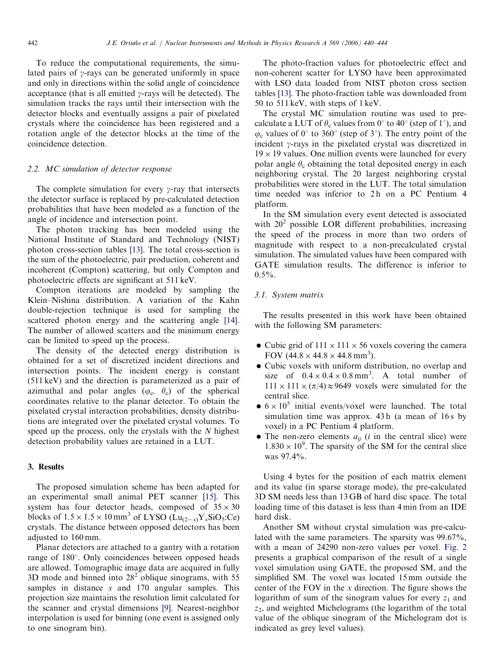To reduce the computational requirements, the simulated pairs of  $\gamma$ -rays can be generated uniformly in space and only in directions within the solid angle of coincidence acceptance (that is all emitted  $\gamma$ -rays will be detected). The simulation tracks the rays until their intersection with the detector blocks and eventually assigns a pair of pixelated crystals where the coincidence has been registered and a rotation angle of the detector blocks at the time of the coincidence detection.

### 2.2. MC simulation of detector response

The complete simulation for every  $\gamma$ -ray that intersects the detector surface is replaced by pre-calculated detection probabilities that have been modeled as a function of the angle of incidence and intersection point.

The photon tracking has been modeled using the National Institute of Standard and Technology (NIST) photon cross-section tables [\[13\]](#page-4-0). The total cross-section is the sum of the photoelectric, pair production, coherent and incoherent (Compton) scattering, but only Compton and photoelectric effects are significant at 511 keV.

Compton iterations are modeled by sampling the Klein–Nishina distribution. A variation of the Kahn double-rejection technique is used for sampling the scattered photon energy and the scattering angle [\[14\]](#page-4-0). The number of allowed scatters and the minimum energy can be limited to speed up the process.

The density of the detected energy distribution is obtained for a set of discretized incident directions and intersection points. The incident energy is constant (511 keV) and the direction is parameterized as a pair of azimuthal and polar angles ( $\varphi_c$ ,  $\theta_c$ ) of the spherical coordinates relative to the planar detector. To obtain the pixelated crystal interaction probabilities, density distributions are integrated over the pixelated crystal volumes. To speed up the process, only the crystals with the  $N$  highest detection probability values are retained in a LUT.

# 3. Results

The proposed simulation scheme has been adapted for an experimental small animal PET scanner [\[15\].](#page-4-0) This system has four detector heads, composed of  $35 \times 30$ blocks of  $1.5 \times 1.5 \times 10 \text{ mm}^3$  of LYSO ( $\text{Lu}_{(2-x)} \text{Y}_x \text{SiO}_5$ :Ce) crystals. The distance between opposed detectors has been adjusted to 160 mm.

Planar detectors are attached to a gantry with a rotation range of 180°. Only coincidences between opposed heads are allowed. Tomographic image data are acquired in fully 3D mode and binned into  $28<sup>2</sup>$  oblique sinograms, with 55 samples in distance s and 170 angular samples. This projection size maintains the resolution limit calculated for the scanner and crystal dimensions [\[9\]](#page-4-0). Nearest-neighbor interpolation is used for binning (one event is assigned only to one sinogram bin).

The photo-fraction values for photoelectric effect and non-coherent scatter for LYSO have been approximated with LSO data loaded from NIST photon cross section tables [\[13\].](#page-4-0) The photo-fraction table was downloaded from 50 to 511 keV, with steps of 1 keV.

The crystal MC simulation routine was used to precalculate a LUT of  $\theta_c$  values from 0° to 40° (step of 1°), and  $\varphi_c$  values of 0° to 360° (step of 3°). The entry point of the incident  $\gamma$ -rays in the pixelated crystal was discretized in  $19 \times 19$  values. One million events were launched for every polar angle  $\theta_c$  obtaining the total deposited energy in each neighboring crystal. The 20 largest neighboring crystal probabilities were stored in the LUT. The total simulation time needed was inferior to 2h on a PC Pentium 4 platform.

In the SM simulation every event detected is associated with  $20<sup>2</sup>$  possible LOR different probabilities, increasing the speed of the process in more than two orders of magnitude with respect to a non-precalculated crystal simulation. The simulated values have been compared with GATE simulation results. The difference is inferior to  $0.5\%$ .

# 3.1. System matrix

The results presented in this work have been obtained with the following SM parameters:

- Cubic grid of  $111 \times 111 \times 56$  voxels covering the camera FOV  $(44.8 \times 44.8 \times 44.8 \text{ mm}^3)$ .
- Cubic voxels with uniform distribution, no overlap and size of  $0.4 \times 0.4 \times 0.8$  mm<sup>3</sup>. A total number of  $111 \times 111 \times (\pi/4) \approx 9649$  voxels were simulated for the central slice.
- $\bullet$  6  $\times$  10<sup>5</sup> initial events/voxel were launched. The total simulation time was approx.  $43h$  (a mean of 16s by voxel) in a PC Pentium 4 platform.
- The non-zero elements  $a_{ii}$  (*i* in the central slice) were  $1.830 \times 10^{9}$ . The sparsity of the SM for the central slice was 97.4%.

Using 4 bytes for the position of each matrix element and its value (in sparse storage mode), the pre-calculated 3D SM needs less than 13 GB of hard disc space. The total loading time of this dataset is less than 4 min from an IDE hard disk.

Another SM without crystal simulation was pre-calculated with the same parameters. The sparsity was 99.67%, with a mean of 24290 non-zero values per voxel. [Fig. 2](#page-3-0) presents a graphical comparison of the result of a single voxel simulation using GATE, the proposed SM, and the simplified SM. The voxel was located 15 mm outside the center of the FOV in the  $x$  direction. The figure shows the logarithm of sum of the sinogram values for every  $z_1$  and  $z_2$ , and weighted Michelograms (the logarithm of the total value of the oblique sinogram of the Michelogram dot is indicated as grey level values).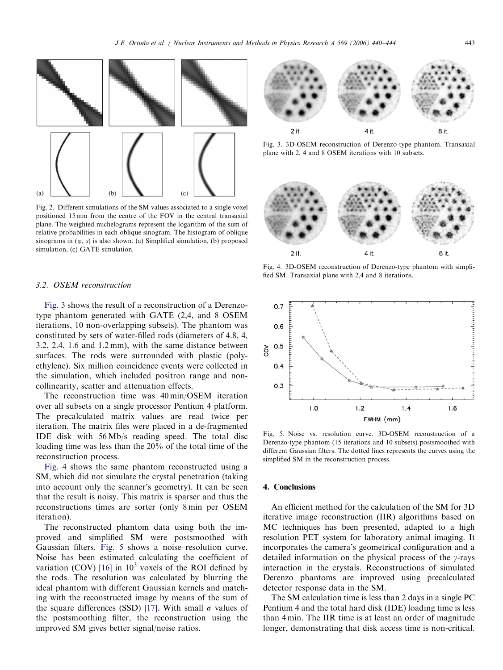<span id="page-3-0"></span>

Fig. 2. Different simulations of the SM values associated to a single voxel positioned 15 mm from the centre of the FOV in the central transaxial plane. The weighted michelograms represent the logarithm of the sum of relative probabilities in each oblique sinogram. The histogram of oblique sinograms in  $(\varphi, s)$  is also shown. (a) Simplified simulation, (b) proposed simulation, (c) GATE simulation.

#### 3.2. OSEM reconstruction

Fig. 3 shows the result of a reconstruction of a Derenzotype phantom generated with GATE (2,4, and 8 OSEM iterations, 10 non-overlapping subsets). The phantom was constituted by sets of water-filled rods (diameters of 4.8, 4, 3.2, 2.4, 1.6 and 1.2 mm), with the same distance between surfaces. The rods were surrounded with plastic (polyethylene). Six million coincidence events were collected in the simulation, which included positron range and noncollinearity, scatter and attenuation effects.

The reconstruction time was 40 min/OSEM iteration over all subsets on a single processor Pentium 4 platform. The precalculated matrix values are read twice per iteration. The matrix files were placed in a de-fragmented IDE disk with 56 Mb/s reading speed. The total disc loading time was less than the 20% of the total time of the reconstruction process.

Fig. 4 shows the same phantom reconstructed using a SM, which did not simulate the crystal penetration (taking into account only the scanner's geometry). It can be seen that the result is noisy. This matrix is sparser and thus the reconstructions times are sorter (only 8 min per OSEM iteration).

The reconstructed phantom data using both the improved and simplified SM were postsmoothed with Gaussian filters. Fig. 5 shows a noise–resolution curve. Noise has been estimated calculating the coefficient of variation (COV) [\[16\]](#page-4-0) in  $10<sup>3</sup>$  voxels of the ROI defined by the rods. The resolution was calculated by blurring the ideal phantom with different Gaussian kernels and matching with the reconstructed image by means of the sum of the square differences (SSD) [\[17\]](#page-4-0). With small  $\sigma$  values of the postsmoothing filter, the reconstruction using the improved SM gives better signal/noise ratios.



Fig. 3. 3D-OSEM reconstruction of Derenzo-type phantom. Transaxial plane with 2, 4 and 8 OSEM iterations with 10 subsets.



Fig. 4. 3D-OSEM reconstruction of Derenzo-type phantom with simplified SM. Transaxial plane with 2,4 and 8 iterations.



Fig. 5. Noise vs. resolution curve. 3D-OSEM reconstruction of a Derenzo-type phantom (15 iterations and 10 subsets) postsmoothed with different Gaussian filters. The dotted lines represents the curves using the simplified SM in the reconstruction process.

### 4. Conclusions

An efficient method for the calculation of the SM for 3D iterative image reconstruction (IIR) algorithms based on MC techniques has been presented, adapted to a high resolution PET system for laboratory animal imaging. It incorporates the camera's geometrical configuration and a detailed information on the physical process of the  $\gamma$ -rays interaction in the crystals. Reconstructions of simulated Derenzo phantoms are improved using precalculated detector response data in the SM.

The SM calculation time is less than 2 days in a single PC Pentium 4 and the total hard disk (IDE) loading time is less than 4 min. The IIR time is at least an order of magnitude longer, demonstrating that disk access time is non-critical.